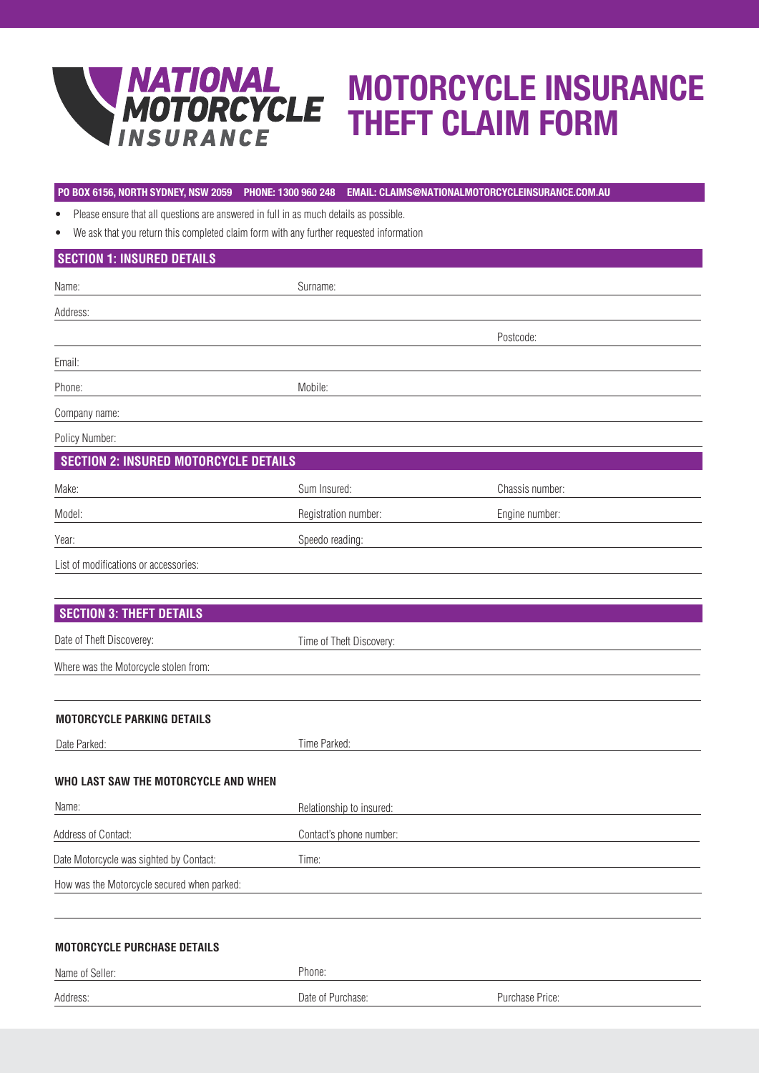

# MOTORCYCLE INSURANCE THEFT CLAIM FORM

### **PO BOX 6156, NORTH SYDNEY, NSW 2059 PHONE: 1300 960 248 EMAIL: CLAIMS@NATIONALMOTORCYCLEINSURANCE.COM.AU**

• Please ensure that all questions are answered in full in as much details as possible.

• We ask that you return this completed claim form with any further requested information

# **SECTION 1: INSURED DETAILS**

| Name:                                        | Surname:                 |                 |  |  |  |
|----------------------------------------------|--------------------------|-----------------|--|--|--|
| Address:                                     |                          |                 |  |  |  |
|                                              |                          | Postcode:       |  |  |  |
| Email:                                       |                          |                 |  |  |  |
| Phone:                                       | Mobile:                  |                 |  |  |  |
| Company name:                                |                          |                 |  |  |  |
| Policy Number:                               |                          |                 |  |  |  |
| <b>SECTION 2: INSURED MOTORCYCLE DETAILS</b> |                          |                 |  |  |  |
| Make:                                        | Sum Insured:             | Chassis number: |  |  |  |
| Model:                                       | Registration number:     | Engine number:  |  |  |  |
| Year:                                        | Speedo reading:          |                 |  |  |  |
| List of modifications or accessories:        |                          |                 |  |  |  |
|                                              |                          |                 |  |  |  |
| <b>SECTION 3: THEFT DETAILS</b>              |                          |                 |  |  |  |
| Date of Theft Discoverey:                    | Time of Theft Discovery: |                 |  |  |  |
| Where was the Motorcycle stolen from:        |                          |                 |  |  |  |

#### **MOTORCYCLE PARKING DETAILS**

| Date Parked:                                | Time Parked:             |                 |  |
|---------------------------------------------|--------------------------|-----------------|--|
| WHO LAST SAW THE MOTORCYCLE AND WHEN        |                          |                 |  |
| Name:                                       | Relationship to insured: |                 |  |
| Address of Contact:                         | Contact's phone number:  |                 |  |
| Date Motorcycle was sighted by Contact:     | Time:                    |                 |  |
| How was the Motorcycle secured when parked: |                          |                 |  |
|                                             |                          |                 |  |
| <b>MOTORCYCLE PURCHASE DETAILS</b>          |                          |                 |  |
| Name of Seller:                             | Phone:                   |                 |  |
| Address:                                    | Date of Purchase:        | Purchase Price: |  |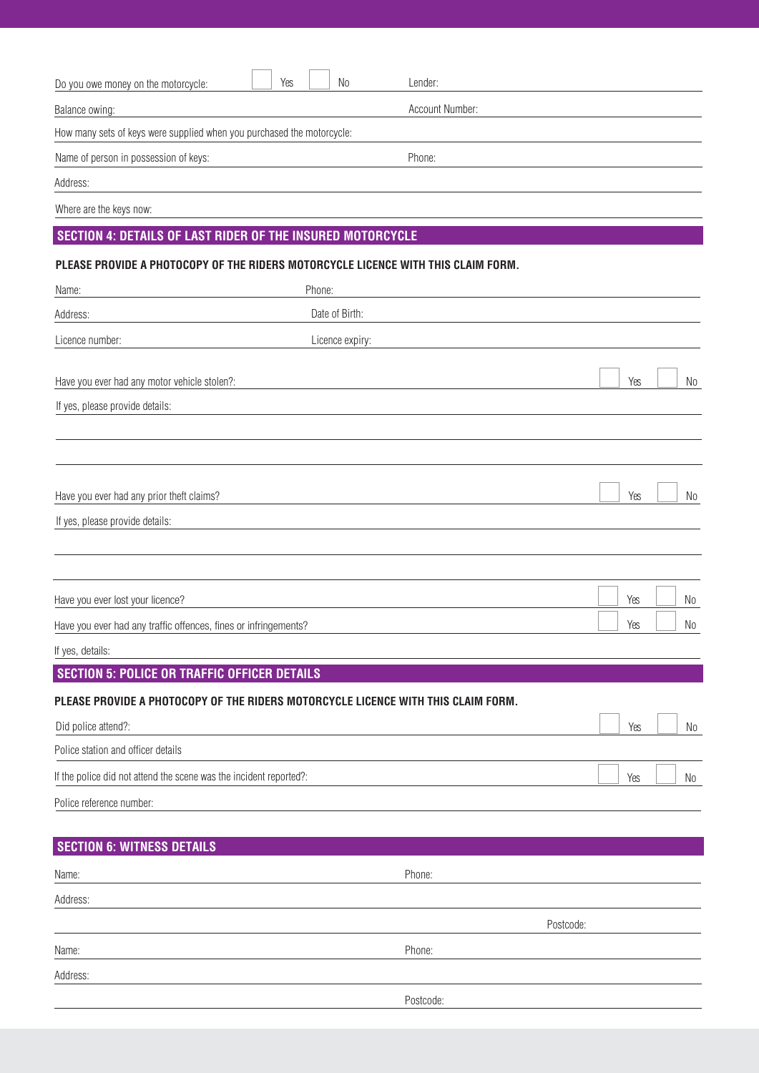| Do you owe money on the motorcycle:                                               | Yes |        | N <sub>0</sub>  | Lender:         |           |     |    |
|-----------------------------------------------------------------------------------|-----|--------|-----------------|-----------------|-----------|-----|----|
| Balance owing:                                                                    |     |        |                 | Account Number: |           |     |    |
| How many sets of keys were supplied when you purchased the motorcycle:            |     |        |                 |                 |           |     |    |
| Name of person in possession of keys:                                             |     |        |                 | Phone:          |           |     |    |
| Address:                                                                          |     |        |                 |                 |           |     |    |
| Where are the keys now:                                                           |     |        |                 |                 |           |     |    |
| <b>SECTION 4: DETAILS OF LAST RIDER OF THE INSURED MOTORCYCLE</b>                 |     |        |                 |                 |           |     |    |
| PLEASE PROVIDE A PHOTOCOPY OF THE RIDERS MOTORCYCLE LICENCE WITH THIS CLAIM FORM. |     |        |                 |                 |           |     |    |
| Name:                                                                             |     | Phone: |                 |                 |           |     |    |
| Address:                                                                          |     |        | Date of Birth:  |                 |           |     |    |
| Licence number:                                                                   |     |        | Licence expiry: |                 |           |     |    |
|                                                                                   |     |        |                 |                 |           |     |    |
| Have you ever had any motor vehicle stolen?:                                      |     |        |                 |                 |           | Yes | No |
| If yes, please provide details:                                                   |     |        |                 |                 |           |     |    |
|                                                                                   |     |        |                 |                 |           |     |    |
|                                                                                   |     |        |                 |                 |           |     |    |
| Have you ever had any prior theft claims?                                         |     |        |                 |                 |           | Yes | No |
| If yes, please provide details:                                                   |     |        |                 |                 |           |     |    |
|                                                                                   |     |        |                 |                 |           |     |    |
|                                                                                   |     |        |                 |                 |           |     |    |
| Have you ever lost your licence?                                                  |     |        |                 |                 |           | Yes | No |
| Have you ever had any traffic offences, fines or infringements?                   |     |        |                 |                 |           | Yes | No |
| If yes, details:                                                                  |     |        |                 |                 |           |     |    |
| <b>SECTION 5: POLICE OR TRAFFIC OFFICER DETAILS</b>                               |     |        |                 |                 |           |     |    |
| PLEASE PROVIDE A PHOTOCOPY OF THE RIDERS MOTORCYCLE LICENCE WITH THIS CLAIM FORM. |     |        |                 |                 |           |     |    |
| Did police attend?:                                                               |     |        |                 |                 |           | Yes | No |
| Police station and officer details                                                |     |        |                 |                 |           |     |    |
| If the police did not attend the scene was the incident reported?:                |     |        |                 |                 |           | Yes | No |
| Police reference number:                                                          |     |        |                 |                 |           |     |    |
|                                                                                   |     |        |                 |                 |           |     |    |
| <b>SECTION 6: WITNESS DETAILS</b>                                                 |     |        |                 |                 |           |     |    |
| Name:                                                                             |     |        |                 | Phone:          |           |     |    |
| Address:                                                                          |     |        |                 |                 |           |     |    |
|                                                                                   |     |        |                 |                 | Postcode: |     |    |
| Name:                                                                             |     |        |                 | Phone:          |           |     |    |
| Address:                                                                          |     |        |                 |                 |           |     |    |
|                                                                                   |     |        |                 | Postcode:       |           |     |    |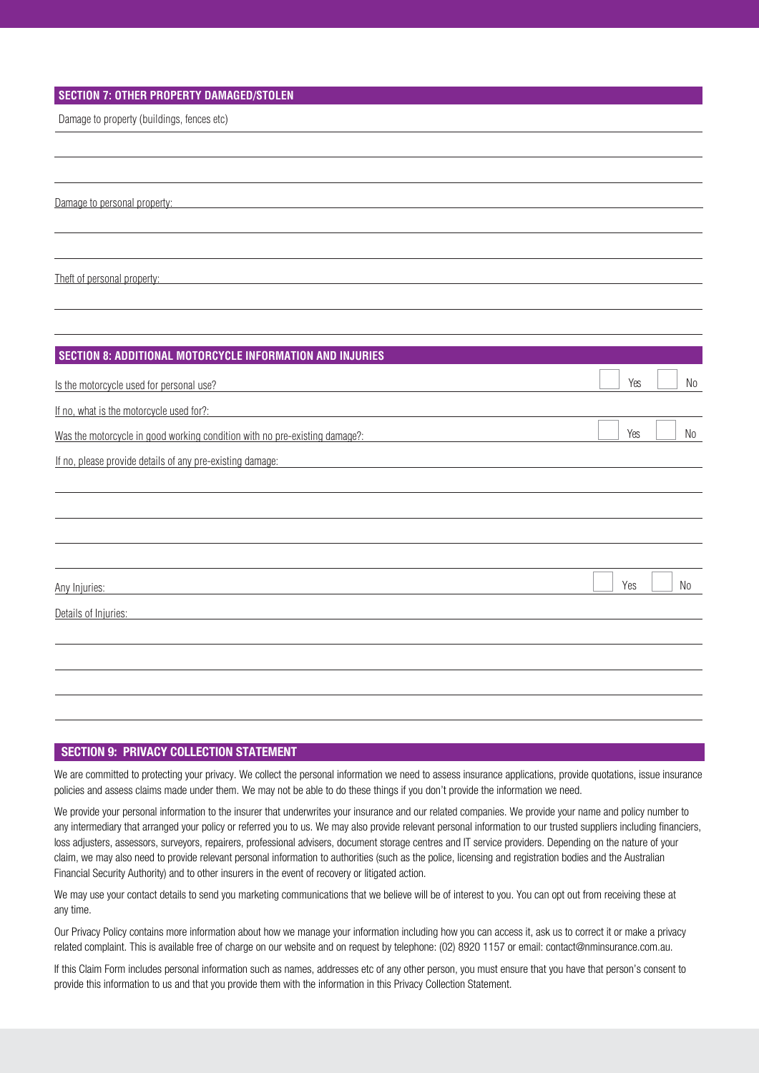## **SECTION 7: OTHER PROPERTY DAMAGED/STOLEN**

Damage to property (buildings, fences etc)

Damage to personal property:

Theft of personal property:

| SECTION 8: ADDITIONAL MOTORCYCLE INFORMATION AND INJURIES                  |     |                |
|----------------------------------------------------------------------------|-----|----------------|
| Is the motorcycle used for personal use?                                   | Yes | No             |
| If no, what is the motorcycle used for?:                                   |     |                |
| Was the motorcycle in good working condition with no pre-existing damage?: | Yes | No             |
| If no, please provide details of any pre-existing damage:                  |     |                |
|                                                                            |     |                |
|                                                                            |     |                |
|                                                                            |     |                |
|                                                                            |     |                |
| Any Injuries:                                                              | Yes | N <sub>0</sub> |
| Details of Injuries:                                                       |     |                |
|                                                                            |     |                |
|                                                                            |     |                |
|                                                                            |     |                |
|                                                                            |     |                |

## SECTION 9: PRIVACY COLLECTION STATEMENT

We are committed to protecting your privacy. We collect the personal information we need to assess insurance applications, provide quotations, issue insurance policies and assess claims made under them. We may not be able to do these things if you don't provide the information we need.

We provide your personal information to the insurer that underwrites your insurance and our related companies. We provide your name and policy number to any intermediary that arranged your policy or referred you to us. We may also provide relevant personal information to our trusted suppliers including financiers, loss adjusters, assessors, surveyors, repairers, professional advisers, document storage centres and IT service providers. Depending on the nature of your claim, we may also need to provide relevant personal information to authorities (such as the police, licensing and registration bodies and the Australian Financial Security Authority) and to other insurers in the event of recovery or litigated action.

We may use your contact details to send you marketing communications that we believe will be of interest to you. You can opt out from receiving these at any time.

Our Privacy Policy contains more information about how we manage your information including how you can access it, ask us to correct it or make a privacy related complaint. This is available free of charge on our website and on request by telephone: (02) 8920 1157 or email: contact@nminsurance.com.au.

If this Claim Form includes personal information such as names, addresses etc of any other person, you must ensure that you have that person's consent to provide this information to us and that you provide them with the information in this Privacy Collection Statement.